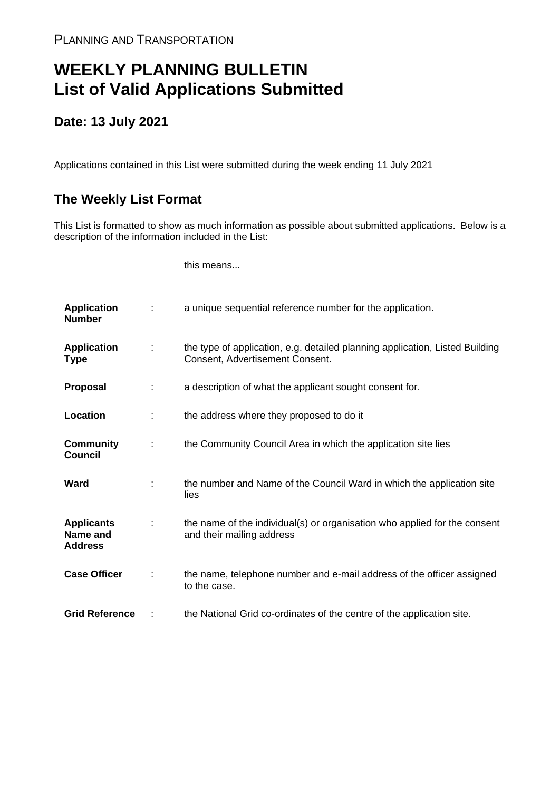## **WEEKLY PLANNING BULLETIN List of Valid Applications Submitted**

## **Date: 13 July 2021**

Applications contained in this List were submitted during the week ending 11 July 2021

## **The Weekly List Format**

This List is formatted to show as much information as possible about submitted applications. Below is a description of the information included in the List:

this means...

| <b>Application</b><br><b>Number</b>             |   | a unique sequential reference number for the application.                                                       |
|-------------------------------------------------|---|-----------------------------------------------------------------------------------------------------------------|
| <b>Application</b><br><b>Type</b>               | ÷ | the type of application, e.g. detailed planning application, Listed Building<br>Consent, Advertisement Consent. |
| <b>Proposal</b>                                 | ÷ | a description of what the applicant sought consent for.                                                         |
| Location                                        | ÷ | the address where they proposed to do it                                                                        |
| <b>Community</b><br><b>Council</b>              | ÷ | the Community Council Area in which the application site lies                                                   |
| Ward                                            |   | the number and Name of the Council Ward in which the application site<br>lies                                   |
| <b>Applicants</b><br>Name and<br><b>Address</b> |   | the name of the individual(s) or organisation who applied for the consent<br>and their mailing address          |
| <b>Case Officer</b>                             | ÷ | the name, telephone number and e-mail address of the officer assigned<br>to the case.                           |
| <b>Grid Reference</b>                           |   | the National Grid co-ordinates of the centre of the application site.                                           |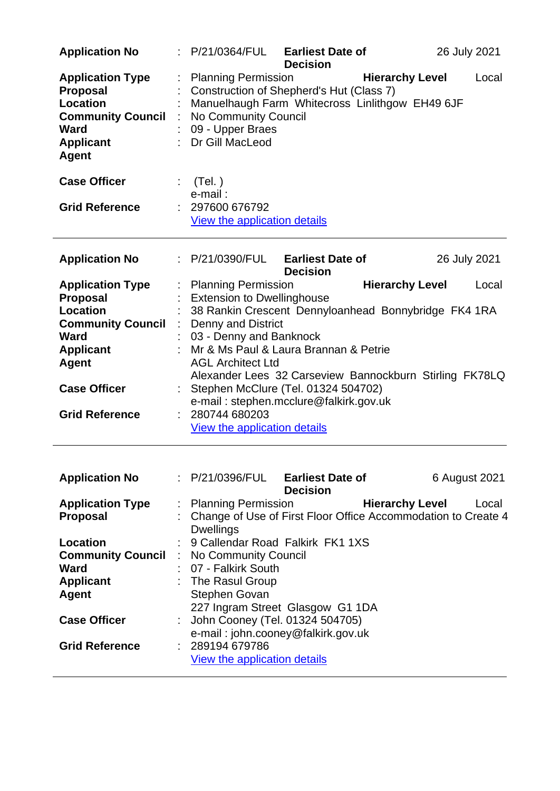| <b>Application No</b>                                                                                                                 |    | P/21/0364/FUL                                                                                                                                                                              | <b>Earliest Date of</b><br><b>Decision</b> |                        | 26 July 2021  |
|---------------------------------------------------------------------------------------------------------------------------------------|----|--------------------------------------------------------------------------------------------------------------------------------------------------------------------------------------------|--------------------------------------------|------------------------|---------------|
| <b>Application Type</b><br><b>Proposal</b><br><b>Location</b><br><b>Community Council</b><br>Ward<br><b>Applicant</b><br><b>Agent</b> |    | <b>Planning Permission</b><br>Construction of Shepherd's Hut (Class 7)<br>Manuelhaugh Farm Whitecross Linlithgow EH49 6JF<br>No Community Council<br>: 09 - Upper Braes<br>Dr Gill MacLeod |                                            | <b>Hierarchy Level</b> | Local         |
| <b>Case Officer</b>                                                                                                                   | t. | (Tel. )<br>e-mail:                                                                                                                                                                         |                                            |                        |               |
| <b>Grid Reference</b>                                                                                                                 |    | : 297600 676792<br>View the application details                                                                                                                                            |                                            |                        |               |
| <b>Application No</b>                                                                                                                 |    | : P/21/0390/FUL                                                                                                                                                                            | <b>Earliest Date of</b><br><b>Decision</b> |                        | 26 July 2021  |
| <b>Application Type</b><br><b>Proposal</b>                                                                                            |    | <b>Planning Permission</b>                                                                                                                                                                 |                                            | <b>Hierarchy Level</b> | Local         |
| Location                                                                                                                              |    | <b>Extension to Dwellinghouse</b><br>38 Rankin Crescent Dennyloanhead Bonnybridge FK4 1RA                                                                                                  |                                            |                        |               |
| <b>Community Council</b>                                                                                                              |    | <b>Denny and District</b>                                                                                                                                                                  |                                            |                        |               |
| <b>Ward</b>                                                                                                                           |    | 03 - Denny and Banknock                                                                                                                                                                    |                                            |                        |               |
| <b>Applicant</b>                                                                                                                      |    | Mr & Ms Paul & Laura Brannan & Petrie                                                                                                                                                      |                                            |                        |               |
| <b>Agent</b>                                                                                                                          |    | <b>AGL Architect Ltd</b>                                                                                                                                                                   |                                            |                        |               |
|                                                                                                                                       |    | Alexander Lees 32 Carseview Bannockburn Stirling FK78LQ                                                                                                                                    |                                            |                        |               |
| <b>Case Officer</b>                                                                                                                   |    | : Stephen McClure (Tel. 01324 504702)<br>e-mail: stephen.mcclure@falkirk.gov.uk                                                                                                            |                                            |                        |               |
| <b>Grid Reference</b>                                                                                                                 |    | 280744 680203<br>View the application details                                                                                                                                              |                                            |                        |               |
| <b>Application No</b>                                                                                                                 |    |                                                                                                                                                                                            |                                            |                        |               |
|                                                                                                                                       |    | : P/21/0396/FUL                                                                                                                                                                            | <b>Earliest Date of</b>                    |                        | 6 August 2021 |
|                                                                                                                                       |    |                                                                                                                                                                                            | <b>Decision</b>                            |                        |               |
| <b>Application Type</b>                                                                                                               |    | <b>Planning Permission</b>                                                                                                                                                                 |                                            | <b>Hierarchy Level</b> | Local         |
| Proposal                                                                                                                              |    | Change of Use of First Floor Office Accommodation to Create 4<br><b>Dwellings</b>                                                                                                          |                                            |                        |               |
| Location                                                                                                                              |    | 9 Callendar Road Falkirk FK1 1XS                                                                                                                                                           |                                            |                        |               |
| <b>Community Council</b>                                                                                                              |    | No Community Council                                                                                                                                                                       |                                            |                        |               |
| Ward                                                                                                                                  |    | 07 - Falkirk South                                                                                                                                                                         |                                            |                        |               |
| <b>Applicant</b>                                                                                                                      |    | The Rasul Group                                                                                                                                                                            |                                            |                        |               |
| <b>Agent</b>                                                                                                                          |    | Stephen Govan                                                                                                                                                                              |                                            |                        |               |
|                                                                                                                                       |    | 227 Ingram Street Glasgow G1 1DA                                                                                                                                                           |                                            |                        |               |
| <b>Case Officer</b>                                                                                                                   |    | John Cooney (Tel. 01324 504705)                                                                                                                                                            |                                            |                        |               |
| <b>Grid Reference</b>                                                                                                                 |    | e-mail: john.cooney@falkirk.gov.uk<br>289194 679786                                                                                                                                        |                                            |                        |               |